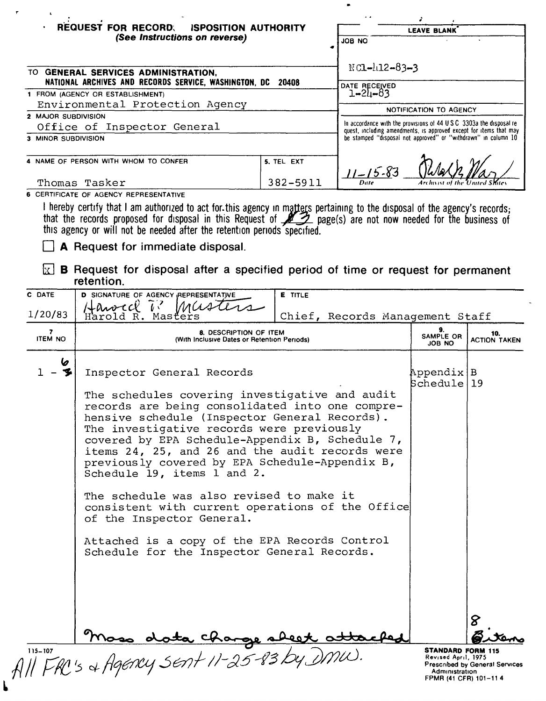|                     | <b>REQUEST FOR RECORD.</b><br><b>ISPOSITION AUTHORITY</b>                                                                                                                                                                                                                                                                                                                                                                                                  |            | <b>LEAVE BLANK</b>                                                                                                                   |                                                 |                                       |
|---------------------|------------------------------------------------------------------------------------------------------------------------------------------------------------------------------------------------------------------------------------------------------------------------------------------------------------------------------------------------------------------------------------------------------------------------------------------------------------|------------|--------------------------------------------------------------------------------------------------------------------------------------|-------------------------------------------------|---------------------------------------|
|                     | (See Instructions on reverse)                                                                                                                                                                                                                                                                                                                                                                                                                              |            | JOB NO                                                                                                                               |                                                 |                                       |
|                     |                                                                                                                                                                                                                                                                                                                                                                                                                                                            |            |                                                                                                                                      |                                                 |                                       |
|                     | TO GENERAL SERVICES ADMINISTRATION,<br>NATIONAL ARCHIVES AND RECORDS SERVICE, WASHINGTON, DC 20408                                                                                                                                                                                                                                                                                                                                                         |            | $NCL - l_112 - 83 - 3$                                                                                                               |                                                 |                                       |
|                     | 1 FROM (AGENCY OR ESTABLISHMENT)                                                                                                                                                                                                                                                                                                                                                                                                                           |            | DATE RECEIVED<br>$1 - 24 - 83$                                                                                                       |                                                 |                                       |
|                     | Environmental Protection Agency                                                                                                                                                                                                                                                                                                                                                                                                                            |            |                                                                                                                                      | NOTIFICATION TO AGENCY                          |                                       |
| 2 MAJOR SUBDIVISION | Office of Inspector General                                                                                                                                                                                                                                                                                                                                                                                                                                |            | In accordance with the provisions of 44 U.S.C. 3303a the disposal re-                                                                |                                                 |                                       |
| 3 MINOR SUBDIVISION |                                                                                                                                                                                                                                                                                                                                                                                                                                                            |            | quest, including amendments, is approved except for items that may<br>be stamped "disposal not approved" or "withdrawn" in column 10 |                                                 |                                       |
|                     | NAME OF PERSON WITH WHOM TO CONFER                                                                                                                                                                                                                                                                                                                                                                                                                         |            |                                                                                                                                      |                                                 |                                       |
|                     |                                                                                                                                                                                                                                                                                                                                                                                                                                                            | 5. TEL EXT | 15-83                                                                                                                                |                                                 |                                       |
|                     | Thomas Tasker<br><b>6 CERTIFICATE OF AGENCY REPRESENTATIVE</b>                                                                                                                                                                                                                                                                                                                                                                                             | 382-5911   | Date                                                                                                                                 |                                                 |                                       |
| lx l                | I hereby certify that I am authorized to act for this agency in matters pertaining to the disposal of the agency's records;<br>that the records proposed for disposal in this Request of $\mathcal{I}$ page(s) are not now needed for the business of<br>this agency or will not be needed after the retention periods specified.<br>A Request for immediate disposal.<br>B Request for disposal after a specified period of time or request for permanent |            |                                                                                                                                      |                                                 |                                       |
|                     | retention.                                                                                                                                                                                                                                                                                                                                                                                                                                                 |            |                                                                                                                                      |                                                 |                                       |
| C DATE              | D SIGNATURE OF AGENCY REPRESENTATIVE                                                                                                                                                                                                                                                                                                                                                                                                                       | E TITLE    |                                                                                                                                      |                                                 |                                       |
| 1/20/83             | awccl<br>Harold R. Masters                                                                                                                                                                                                                                                                                                                                                                                                                                 |            | Chief, Records Management Staff                                                                                                      |                                                 |                                       |
| 7<br><b>ITEM NO</b> | 8. DESCRIPTION OF ITEM<br>(With Inclusive Dates or Retention Periods)                                                                                                                                                                                                                                                                                                                                                                                      |            |                                                                                                                                      | 9.<br>SAMPLE OR<br>JOB NO                       | 10.<br><b>ACTION TAKEN</b>            |
| 6<br>1.             | Inspector General Records                                                                                                                                                                                                                                                                                                                                                                                                                                  |            |                                                                                                                                      | Appendix B<br> Schedule 19                      |                                       |
|                     | The schedules covering investigative and audit<br>records are being consolidated into one compre-<br>hensive schedule (Inspector General Records).<br>The investigative records were previously<br>covered by EPA Schedule-Appendix B, Schedule 7,<br>items 24, 25, and 26 and the audit records were<br>previously covered by EPA Schedule-Appendix B,<br>Schedule 19, items 1 and 2.                                                                     |            |                                                                                                                                      |                                                 |                                       |
|                     | The schedule was also revised to make it<br>consistent with current operations of the Office<br>of the Inspector General.                                                                                                                                                                                                                                                                                                                                  |            |                                                                                                                                      |                                                 |                                       |
|                     | Attached is a copy of the EPA Records Control<br>Schedule for the Inspector General Records.                                                                                                                                                                                                                                                                                                                                                               |            |                                                                                                                                      |                                                 |                                       |
|                     |                                                                                                                                                                                                                                                                                                                                                                                                                                                            |            |                                                                                                                                      |                                                 |                                       |
|                     | 1 Mass data change abeet atte                                                                                                                                                                                                                                                                                                                                                                                                                              |            |                                                                                                                                      | <b>STANDARD FORM 115</b><br>Revised April, 1975 | <b>Prescribed by General Services</b> |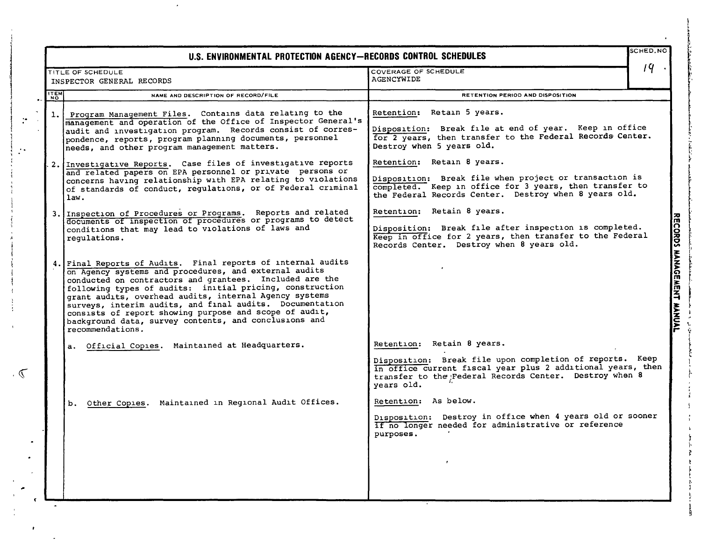|             | U.S. ENVIRONMENTAL PROTECTION AGENCY-RECORDS CONTROL SCHEDULES                                                                                                                                                                                                                                                                                                                                                                                                                                         |                                                                                                                                                                                                          | SCHED.NO                  |
|-------------|--------------------------------------------------------------------------------------------------------------------------------------------------------------------------------------------------------------------------------------------------------------------------------------------------------------------------------------------------------------------------------------------------------------------------------------------------------------------------------------------------------|----------------------------------------------------------------------------------------------------------------------------------------------------------------------------------------------------------|---------------------------|
|             | TITLE OF SCHEDULE<br>INSPECTOR GENERAL RECORDS                                                                                                                                                                                                                                                                                                                                                                                                                                                         | COVERAGE OF SCHEDULE<br><b>AGENCYWIDE</b>                                                                                                                                                                | 19 <sup>°</sup>           |
| <b>ITEM</b> | NAME AND DESCRIPTION OF RECORD/FILE                                                                                                                                                                                                                                                                                                                                                                                                                                                                    | RETENTION PERIOD AND DISPOSITION                                                                                                                                                                         |                           |
|             | 1. Program Management Files. Contains data relating to the<br>management and operation of the Office of Inspector General's<br>audit and investigation program. Records consist of corres-<br>pondence, reports, program planning documents, personnel<br>needs, and other program management matters.                                                                                                                                                                                                 | Retention: Retain 5 years.<br>Disposition: Break file at end of year. Keep in office<br>for 2 years, then transfer to the Federal Records Center.<br>Destroy when 5 years old.                           |                           |
|             | 2. Investigative Reports. Case files of investigative reports<br>and related papers on EPA personnel or private persons or<br>concerns having relationship with EPA relating to violations<br>of standards of conduct, regulations, or of Federal criminal<br>law.                                                                                                                                                                                                                                     | Retention: Retain 8 years.<br>Disposition: Break file when project or transaction is<br>completed. Keep in office for 3 years, then transfer to<br>the Federal Records Center. Destroy when 8 years old. |                           |
|             | 3. Inspection of Procedures or Programs. Reports and related<br>documents of inspection of procedures or programs to detect<br>conditions that may lead to violations of laws and<br>requlations.                                                                                                                                                                                                                                                                                                      | Retention: Retain 8 years.<br>Disposition: Break file after inspection is completed.<br>Keep in office for 2 years, then transfer to the Federal<br>Records Center. Destroy when 8 years old.            |                           |
| 4.          | Final Reports of Audits. Final reports of internal audits<br>on Agency systems and procedures, and external audits<br>conducted on contractors and grantees. Included are the<br>following types of audits: initial pricing, construction<br>grant audits, overhead audits, internal Agency systems<br>surveys, interim audits, and final audits. Documentation<br>consists of report showing purpose and scope of audit,<br>background data, survey contents, and conclusions and<br>recommendations. |                                                                                                                                                                                                          | RECORDS MANAGEMENT MANUAL |
|             | a. Official Copies. Maintained at Headquarters.                                                                                                                                                                                                                                                                                                                                                                                                                                                        | Retention: Retain 8 years.                                                                                                                                                                               |                           |
|             |                                                                                                                                                                                                                                                                                                                                                                                                                                                                                                        | Disposition: Break file upon completion of reports. Keep<br>in office current fiscal year plus 2 additional years, then<br>transfer to the Federal Records Center. Destroy when 8<br>years old.          |                           |
|             | b. Other Copies. Maintained in Regional Audit Offices.                                                                                                                                                                                                                                                                                                                                                                                                                                                 | Retention: As below.                                                                                                                                                                                     |                           |
|             |                                                                                                                                                                                                                                                                                                                                                                                                                                                                                                        | Disposition: Destroy in office when 4 years old or sooner<br>If no longer needed for administrative or reference<br>purposes.                                                                            |                           |
|             |                                                                                                                                                                                                                                                                                                                                                                                                                                                                                                        |                                                                                                                                                                                                          |                           |

.  $\sigma$ 

!<br>!<br>!

!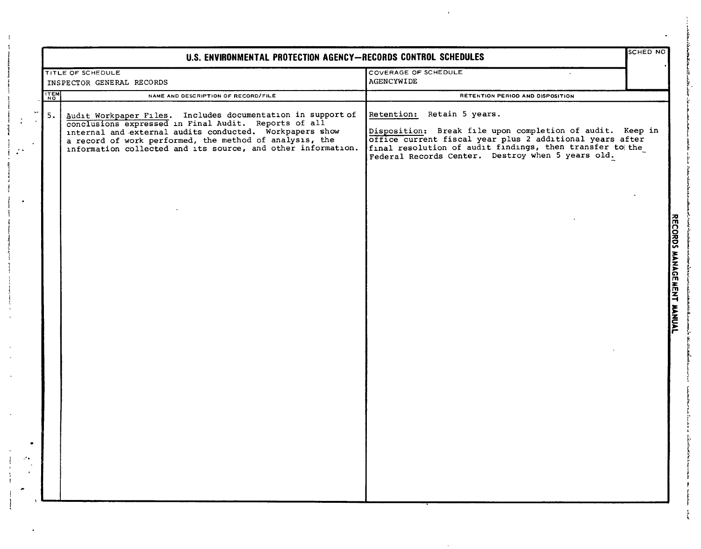|             | U.S. ENVIRONMENTAL PROTECTION AGENCY-RECORDS CONTROL SCHEDULES                                                                                                                                                                                                                                            |                                                                                                                                                                                                                                                                      | <b>SCHED NO</b> |
|-------------|-----------------------------------------------------------------------------------------------------------------------------------------------------------------------------------------------------------------------------------------------------------------------------------------------------------|----------------------------------------------------------------------------------------------------------------------------------------------------------------------------------------------------------------------------------------------------------------------|-----------------|
|             | TITLE OF SCHEDULE                                                                                                                                                                                                                                                                                         | COVERAGE OF SCHEDULE                                                                                                                                                                                                                                                 |                 |
|             | INSPECTOR GENERAL RECORDS                                                                                                                                                                                                                                                                                 | AGENCYWIDE                                                                                                                                                                                                                                                           |                 |
|             |                                                                                                                                                                                                                                                                                                           |                                                                                                                                                                                                                                                                      |                 |
| <b>ITEM</b> | NAME AND DESCRIPTION OF RECORD/FILE                                                                                                                                                                                                                                                                       | RETENTION PERIOD AND DISPOSITION                                                                                                                                                                                                                                     |                 |
| 5.          | Audit Workpaper Files. Includes documentation in support of<br>conclusions expressed in Final Audit. Reports of all<br>internal and external audits conducted. Workpapers show<br>a record of work performed, the method of analysis, the<br>information collected and its source, and other information. | Retention: Retain 5 years.<br>Disposition: Break file upon completion of audit. Keep in<br>office current fiscal year plus 2 additional years after<br>final resolution of audit findings, then transfer to the<br>Federal Records Center. Destroy when 5 years old. |                 |
|             |                                                                                                                                                                                                                                                                                                           |                                                                                                                                                                                                                                                                      |                 |
|             |                                                                                                                                                                                                                                                                                                           |                                                                                                                                                                                                                                                                      |                 |
|             |                                                                                                                                                                                                                                                                                                           |                                                                                                                                                                                                                                                                      |                 |

!<br>.

 $\frac{1}{2}$ I